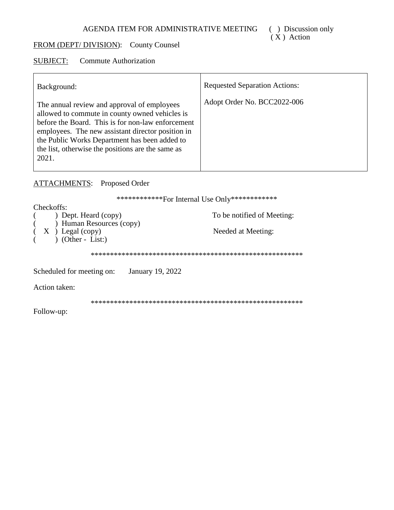# FROM (DEPT/DIVISION): County Counsel

#### **SUBJECT: Commute Authorization**

| Background:                                                                                                                                                                                                                                                                                                            | <b>Requested Separation Actions:</b> |
|------------------------------------------------------------------------------------------------------------------------------------------------------------------------------------------------------------------------------------------------------------------------------------------------------------------------|--------------------------------------|
| The annual review and approval of employees<br>allowed to commute in county owned vehicles is<br>before the Board. This is for non-law enforcement<br>employees. The new assistant director position in<br>the Public Works Department has been added to<br>the list, otherwise the positions are the same as<br>2021. | Adopt Order No. BCC2022-006          |

## **ATTACHMENTS:** Proposed Order

\*\*\*\*\*\*\*\*\*\*\*\*\*For Internal Use Only\*\*\*\*\*\*\*\*\*\*\*\*

| Checkoffs:                                    |                            |
|-----------------------------------------------|----------------------------|
| ) Dept. Heard (copy)                          | To be notified of Meeting: |
| ) Human Resources (copy)                      |                            |
|                                               |                            |
| $(X)$ Legal (copy)                            | Needed at Meeting:         |
| $(Other - List.)$                             |                            |
|                                               |                            |
|                                               |                            |
| January 19, 2022<br>Scheduled for meeting on: |                            |
| Action taken:                                 |                            |
|                                               |                            |
| Follow-up:                                    |                            |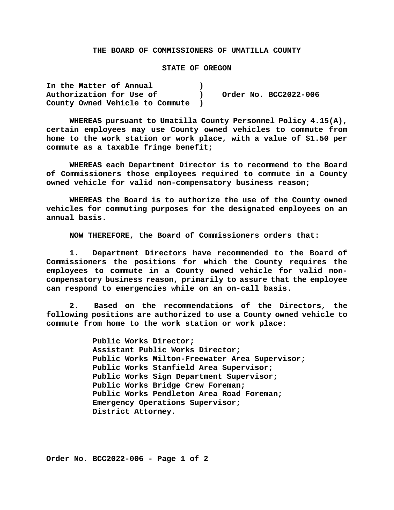### **THE BOARD OF COMMISSIONERS OF UMATILLA COUNTY**

### **STATE OF OREGON**

**In the Matter of Annual ) Authorization for Use of ) Order No. BCC2022-006 County Owned Vehicle to Commute )**

**WHEREAS pursuant to Umatilla County Personnel Policy 4.15(A), certain employees may use County owned vehicles to commute from home to the work station or work place, with a value of \$1.50 per commute as a taxable fringe benefit;**

**WHEREAS each Department Director is to recommend to the Board of Commissioners those employees required to commute in a County owned vehicle for valid non-compensatory business reason;**

**WHEREAS the Board is to authorize the use of the County owned vehicles for commuting purposes for the designated employees on an annual basis.**

**NOW THEREFORE, the Board of Commissioners orders that:**

**1. Department Directors have recommended to the Board of Commissioners the positions for which the County requires the employees to commute in a County owned vehicle for valid noncompensatory business reason, primarily to assure that the employee can respond to emergencies while on an on-call basis.**

**2. Based on the recommendations of the Directors, the following positions are authorized to use a County owned vehicle to commute from home to the work station or work place:**

> **Public Works Director; Assistant Public Works Director; Public Works Milton-Freewater Area Supervisor; Public Works Stanfield Area Supervisor; Public Works Sign Department Supervisor; Public Works Bridge Crew Foreman; Public Works Pendleton Area Road Foreman; Emergency Operations Supervisor; District Attorney.**

**Order No. BCC2022-006 - Page 1 of 2**